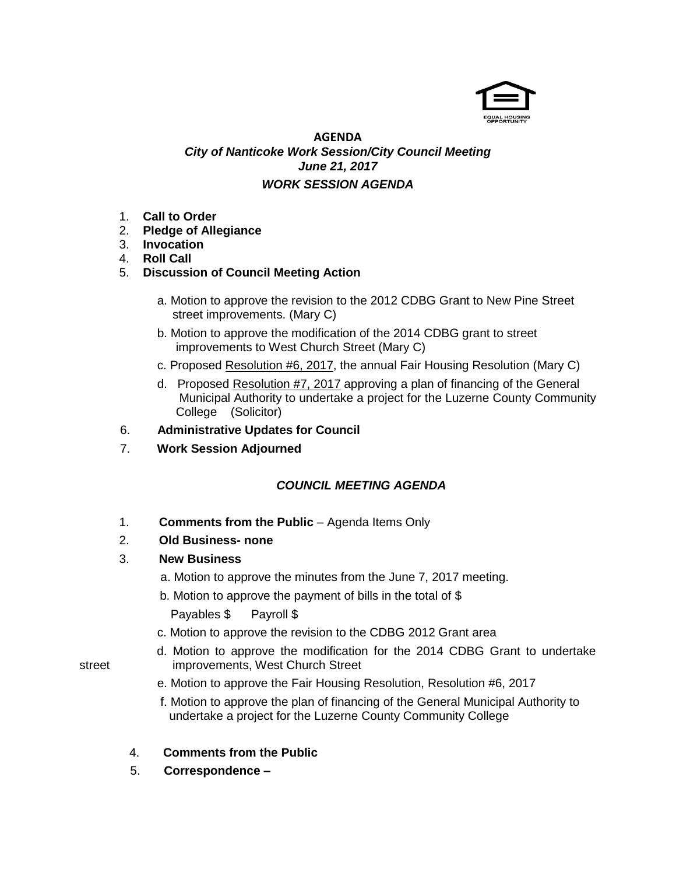

## **AGENDA** *City of Nanticoke Work Session/City Council Meeting June 21, 2017 WORK SESSION AGENDA*

- 1. **Call to Order**
- 2. **Pledge of Allegiance**
- 3. **Invocation**
- 4. **Roll Call**
- 5. **Discussion of Council Meeting Action**
	- a. Motion to approve the revision to the 2012 CDBG Grant to New Pine Street street improvements. (Mary C)
	- b. Motion to approve the modification of the 2014 CDBG grant to street improvements to West Church Street (Mary C)
	- c. Proposed Resolution #6, 2017, the annual Fair Housing Resolution (Mary C)
	- d. Proposed Resolution #7, 2017 approving a plan of financing of the General Municipal Authority to undertake a project for the Luzerne County Community College (Solicitor)

## 6. **Administrative Updates for Council**

7. **Work Session Adjourned**

## *COUNCIL MEETING AGENDA*

- 1. **Comments from the Public** Agenda Items Only
- 2. **Old Business- none**

## 3. **New Business**

- a. Motion to approve the minutes from the June 7, 2017 meeting.
- b. Motion to approve the payment of bills in the total of \$ Payables \$ Payroll \$
- c. Motion to approve the revision to the CDBG 2012 Grant area
- d. Motion to approve the modification for the 2014 CDBG Grant to undertake street improvements, West Church Street
	- e. Motion to approve the Fair Housing Resolution, Resolution #6, 2017
	- f. Motion to approve the plan of financing of the General Municipal Authority to undertake a project for the Luzerne County Community College
	- 4. **Comments from the Public**
	- 5. **Correspondence –**